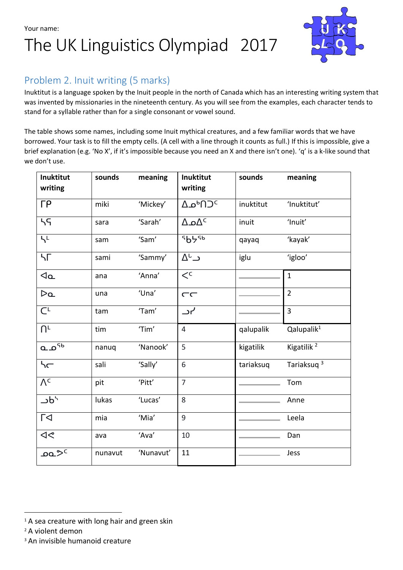Your name:

## The UK Linguistics Olympiad 2017



### Problem 2. Inuit writing (5 marks)

Inuktitut is a language spoken by the Inuit people in the north of Canada which has an interesting writing system that was invented by missionaries in the nineteenth century. As you will see from the examples, each character tends to stand for a syllable rather than for a single consonant or vowel sound.

The table shows some names, including some Inuit mythical creatures, and a few familiar words that we have borrowed. Your task is to fill the empty cells. (A cell with a line through it counts as full.) If this is impossible, give a brief explanation (e.g. 'No X', if it's impossible because you need an X and there isn't one). 'q' is a k-like sound that we don't use.

| Inuktitut<br>writing   | sounds  | meaning   | Inuktitut<br>writing            | sounds    | meaning                |  |
|------------------------|---------|-----------|---------------------------------|-----------|------------------------|--|
| $\Gamma P$             | miki    | 'Mickey'  | $Δ$ <sup>b</sup> ∩ <sup>2</sup> | inuktitut | 'Inuktitut'            |  |
| 55                     | sara    | 'Sarah'   | $\Delta \Omega$ د $\Delta$      | inuit     | 'Inuit'                |  |
| $\overline{L}$         | sam     | 'Sam'     | 5556                            | qayaq     | 'kayak'                |  |
| ЧΓ                     | sami    | 'Sammy'   | $\Delta^{\text{L}}$ ر           | iglu      | 'igloo'                |  |
| $\mathcal{A}_{\alpha}$ | ana     | 'Anna'    | $\lt^{\mathsf{c}}$              |           | $\mathbf{1}$           |  |
| Da                     | una     | 'Una'     | $\subset\subset$                |           | $\overline{2}$         |  |
| $C^{L}$                | tam     | 'Tam'     | ے ر                             |           | 3                      |  |
| $\bigcap^{\mathsf{L}}$ | tim     | 'Tim'     | $\overline{4}$                  | qalupalik | Qalupalik <sup>1</sup> |  |
| ه آه                   | nanuq   | 'Nanook'  | 5                               | kigatilik | Kigatilik <sup>2</sup> |  |
| h                      | sali    | 'Sally'   | 6                               | tariaksuq | Tariaksuq <sup>3</sup> |  |
| $\overline{\Lambda^c}$ | pit     | 'Pitt'    | $\overline{7}$                  |           | Tom                    |  |
| Jb <sub>7</sub>        | lukas   | 'Lucas'   | 8                               |           | Anne                   |  |
| $\Gamma$               | mia     | 'Mia'     | 9                               |           | Leela                  |  |
| $\blacktriangleleft$   | ava     | 'Ava'     | 10                              |           | Dan                    |  |
| <u>۔</u> صم            | nunavut | 'Nunavut' | 11                              |           | Jess                   |  |

<sup>2</sup> A violent demon

1

<sup>3</sup> An invisible humanoid creature

 $1$ A sea creature with long hair and green skin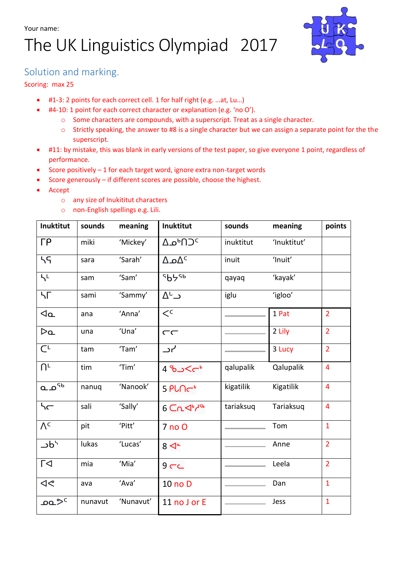# The UK Linguistics Olympiad 2017



#### Solution and marking.

#### Scoring: max 25

- #1-3: 2 points for each correct cell. 1 for half right (e.g. …at, Lu…)
- #4-10: 1 point for each correct character or explanation (e.g. 'no O').
	- o Some characters are compounds, with a superscript. Treat as a single character.
	- o Strictly speaking, the answer to #8 is a single character but we can assign a separate point for the the superscript.
- #11: by mistake, this was blank in early versions of the test paper, so give everyone 1 point, regardless of performance.
- Score positively 1 for each target word, ignore extra non-target words
- Score generously if different scores are possible, choose the highest.
- Accept
	- o any size of Inukititut characters
	- o non-English spellings e.g. Lili.

| Inuktitut                  | sounds  | meaning   | Inuktitut                                        | sounds    | meaning     | points         |
|----------------------------|---------|-----------|--------------------------------------------------|-----------|-------------|----------------|
| $\Gamma P$                 | miki    | 'Mickey'  | $\Delta \mathbf{D}^{\mathsf{b}}$ 1) <sup>c</sup> | inuktitut | 'Inuktitut' |                |
| 55                         | sara    | 'Sarah'   | $\Delta \Omega^C$                                | inuit     | 'Inuit'     |                |
| $h^L$                      | sam     | 'Sam'     | <sup>S</sup> b5Sb                                | qayaq     | 'kayak'     |                |
| ЧΓ                         | sami    | 'Sammy'   | $\Delta^{\text{L}}$ د                            | iglu      | 'igloo'     |                |
| $\mathcal{A}_{\mathbf{Q}}$ | ana     | 'Anna'    | $\lt^{\mathsf{c}}$                               |           | 1 Pat       | $\overline{2}$ |
| Da                         | una     | 'Una'     | $\subset\subset$                                 |           | 2 Lily      | $\overline{2}$ |
| $\overline{C}$             | tam     | 'Tam'     | ہر_                                              |           | 3 Lucy      | $\overline{2}$ |
| $\bigcap^{\mathsf{L}}$     | tim     | 'Tim'     | 4 م> <i>د</i> 01                                 | qalupalik | Qalupalik   | $\overline{4}$ |
| <sup>۹</sup> ۵ م           | nanuq   | 'Nanook'  | 5 PLNC <sup>+</sup>                              | kigatilik | Kigatilik   | $\overline{4}$ |
| h                          | sali    | 'Sally'   | $6$ $Cn4$                                        | tariaksuq | Tariaksuq   | $\overline{4}$ |
| $\overline{\Lambda^c}$     | pit     | 'Pitt'    | 7 no O                                           |           | Tom         | $\mathbf{1}$   |
| Jb <sub>2</sub>            | lukas   | 'Lucas'   | $8\overline{\blacktriangleleft}$                 |           | Anne        | $\overline{2}$ |
| Г<                         | mia     | 'Mia'     | $9$ $-$                                          |           | Leela       | $\overline{2}$ |
| $\triangleleft$            | ava     | 'Ava'     | 10 no D                                          |           | Dan         | $\overline{1}$ |
| ^פ^ פ                      | nunavut | 'Nunavut' | 11 no J or E                                     |           | Jess        | $\mathbf{1}$   |